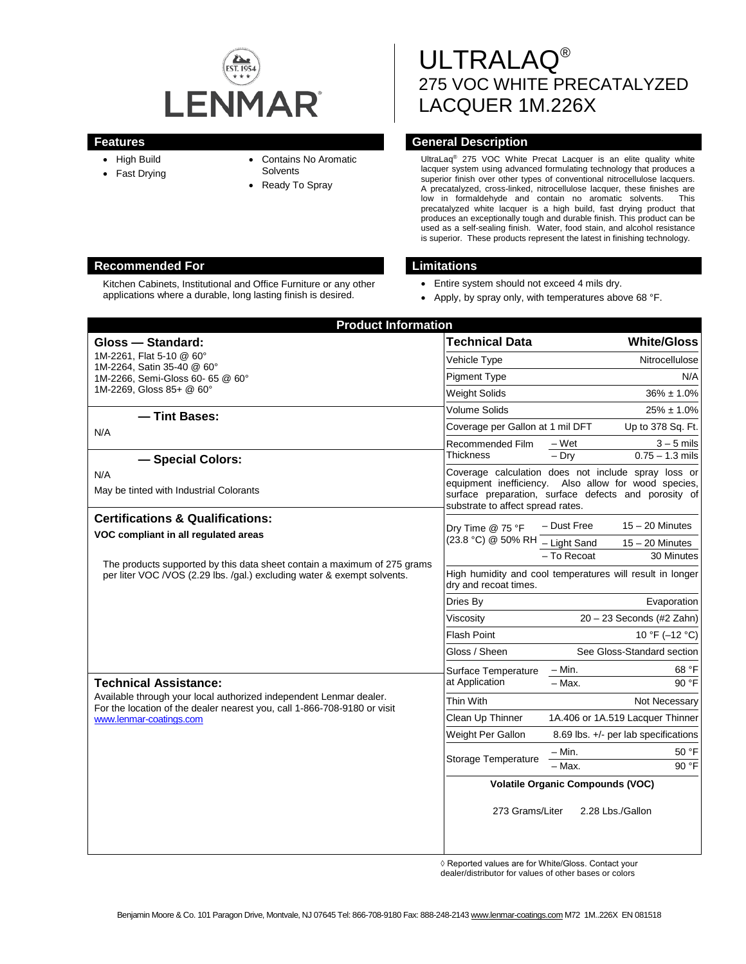

- High Build
- Fast Drying
- Contains No Aromatic
- **Solvents**
- Ready To Spray

ULTRALAQ® 275 VOC WHITE PRECATALYZED LACQUER 1M.226X

## **Features General Description**

UltraLaq® 275 VOC White Precat Lacquer is an elite quality white lacquer system using advanced formulating technology that produces a superior finish over other types of conventional nitrocellulose lacquers. A precatalyzed, cross-linked, nitrocellulose lacquer, these finishes are low in formaldehyde and contain no aromatic solvents. precatalyzed white lacquer is a high build, fast drying product that produces an exceptionally tough and durable finish. This product can be used as a self-sealing finish. Water, food stain, and alcohol resistance is superior. These products represent the latest in finishing technology.

- Entire system should not exceed 4 mils dry.
- Apply, by spray only, with temperatures above 68 °F.

| <b>Product Information</b>                                                                                                                                                |                                        |                                                                                                                                                                     |
|---------------------------------------------------------------------------------------------------------------------------------------------------------------------------|----------------------------------------|---------------------------------------------------------------------------------------------------------------------------------------------------------------------|
| Gloss - Standard:                                                                                                                                                         | <b>Technical Data</b>                  | <b>White/Gloss</b>                                                                                                                                                  |
| 1M-2261. Flat 5-10 @ 60°<br>1M-2264, Satin 35-40 @ 60°<br>1M-2266, Semi-Gloss 60- 65 @ 60°<br>1M-2269, Gloss 85+ @ 60°                                                    | <b>Vehicle Type</b>                    | Nitrocellulose                                                                                                                                                      |
|                                                                                                                                                                           | <b>Pigment Type</b>                    | N/A                                                                                                                                                                 |
|                                                                                                                                                                           | <b>Weight Solids</b>                   | $36\% \pm 1.0\%$                                                                                                                                                    |
| - Tint Bases:<br>N/A<br>- Special Colors:                                                                                                                                 | <b>Volume Solids</b>                   | $25\% \pm 1.0\%$                                                                                                                                                    |
|                                                                                                                                                                           | Coverage per Gallon at 1 mil DFT       | Up to 378 Sq. Ft.                                                                                                                                                   |
|                                                                                                                                                                           | Recommended Film<br><b>Thickness</b>   | – Wet<br>$3 - 5$ mils<br>$-$ Drv<br>$0.75 - 1.3$ mils                                                                                                               |
| N/A<br>May be tinted with Industrial Colorants                                                                                                                            | substrate to affect spread rates.      | Coverage calculation does not include spray loss or<br>equipment inefficiency. Also allow for wood species,<br>surface preparation, surface defects and porosity of |
| <b>Certifications &amp; Qualifications:</b>                                                                                                                               | Drv Time @ 75 °F<br>(23.8 °C) @ 50% RH | $15 - 20$ Minutes<br>- Dust Free                                                                                                                                    |
| VOC compliant in all regulated areas                                                                                                                                      |                                        | - Light Sand<br>$15 - 20$ Minutes                                                                                                                                   |
| The products supported by this data sheet contain a maximum of 275 grams<br>per liter VOC /VOS (2.29 lbs. /gal.) excluding water & exempt solvents.                       |                                        | - To Recoat<br>30 Minutes                                                                                                                                           |
|                                                                                                                                                                           | dry and recoat times.                  | High humidity and cool temperatures will result in longer                                                                                                           |
|                                                                                                                                                                           | Dries By                               | Evaporation                                                                                                                                                         |
|                                                                                                                                                                           | Viscosity                              | $20 - 23$ Seconds (#2 Zahn)                                                                                                                                         |
|                                                                                                                                                                           | <b>Flash Point</b>                     | 10 °F (-12 °C)                                                                                                                                                      |
|                                                                                                                                                                           | Gloss / Sheen                          | See Gloss-Standard section                                                                                                                                          |
|                                                                                                                                                                           | Surface Temperature                    | $-$ Min.<br>68 °F                                                                                                                                                   |
| <b>Technical Assistance:</b>                                                                                                                                              | at Application                         | 90 °F<br>$-$ Max.                                                                                                                                                   |
| Available through your local authorized independent Lenmar dealer.<br>For the location of the dealer nearest you, call 1-866-708-9180 or visit<br>www.lenmar-coatings.com | Thin With                              | Not Necessary                                                                                                                                                       |
|                                                                                                                                                                           | Clean Up Thinner                       | 1A.406 or 1A.519 Lacquer Thinner                                                                                                                                    |
|                                                                                                                                                                           | Weight Per Gallon                      | 8.69 lbs. $+/-$ per lab specifications                                                                                                                              |
|                                                                                                                                                                           | Storage Temperature                    | $-$ Min.<br>50 °F                                                                                                                                                   |
|                                                                                                                                                                           |                                        | $-$ Max.<br>90 °F                                                                                                                                                   |
|                                                                                                                                                                           | 273 Grams/Liter                        | <b>Volatile Organic Compounds (VOC)</b><br>2.28 Lbs./Gallon                                                                                                         |
|                                                                                                                                                                           |                                        |                                                                                                                                                                     |

◊ Reported values are for White/Gloss. Contact your

dealer/distributor for values of other bases or colors

# **Recommended For Limitations**

Kitchen Cabinets, Institutional and Office Furniture or any other applications where a durable, long lasting finish is desired.